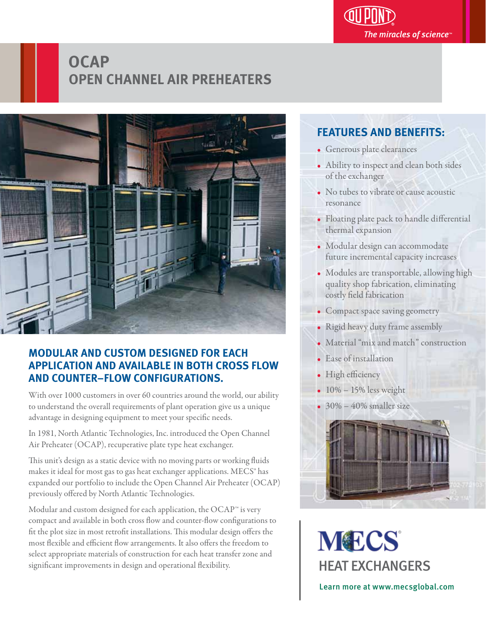

## **OCAP OPEN CHANNEL AIR PREHEATERS**



### **MODULAR AND CUSTOM DESIGNED FOR EACH APPLICATION AND AVAILABLE IN BOTH CROSS FLOW AND COUNTER–FLOW CONFIGURATIONS.**

With over 1000 customers in over 60 countries around the world, our ability to understand the overall requirements of plant operation give us a unique advantage in designing equipment to meet your specific needs.

In 1981, North Atlantic Technologies, Inc. introduced the Open Channel Air Preheater (OCAP), recuperative plate type heat exchanger.

This unit's design as a static device with no moving parts or working fluids makes it ideal for most gas to gas heat exchanger applications. MECS<sup>®</sup> has expanded our portfolio to include the Open Channel Air Preheater (OCAP) previously offered by North Atlantic Technologies.

Modular and custom designed for each application, the OCAP™ is very compact and available in both cross flow and counter-flow configurations to fit the plot size in most retrofit installations. This modular design offers the most flexible and efficient flow arrangements. It also offers the freedom to select appropriate materials of construction for each heat transfer zone and significant improvements in design and operational flexibility.

#### **FEATURES AND BENEFITS:** j

- Generous plate clearances
- Ability to inspect and clean both sides of the exchanger
- No tubes to vibrate or cause acoustic resonance
- Floating plate pack to handle differential thermal expansion
- Modular design can accommodate future incremental capacity increases
- Modules are transportable, allowing high quality shop fabrication, eliminating costly field fabrication
- Compact space saving geometry
- Rigid heavy duty frame assembly
- Material "mix and match" construction
- Ease of installation
- High efficiency
- $\cdot$  10% 15% less weight
- $\cdot$  30% 40% smaller size



**MECS** HEAT EXCHANGERS

Learn more at www.mecsglobal.com